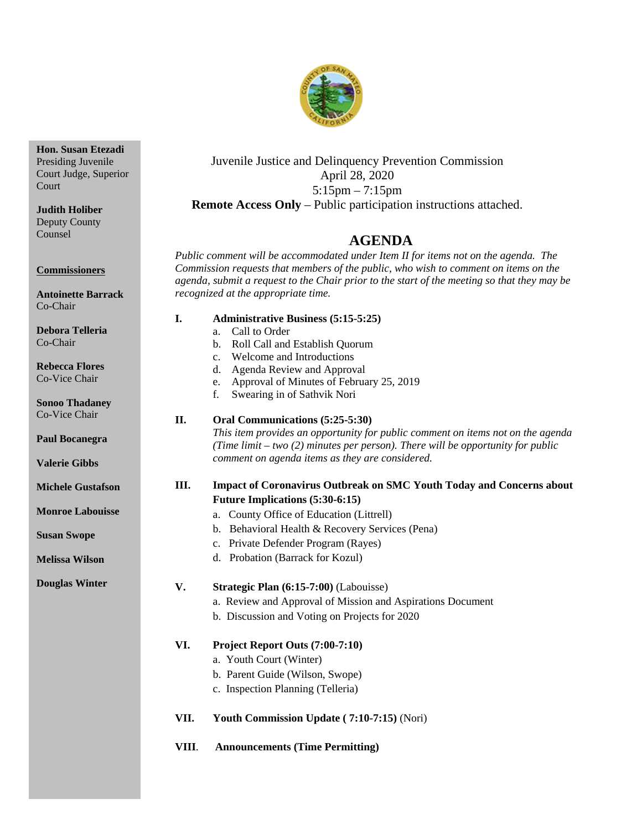

Juvenile Justice and Delinquency Prevention Commission April 28, 2020 5:15pm – 7:15pm **Remote Access Only** – Public participation instructions attached.

## 4B**AGENDA**

*Public comment will be accommodated under Item II for items not on the agenda. The Commission requests that members of the public, who wish to comment on items on the agenda, submit a request to the Chair prior to the start of the meeting so that they may be recognized at the appropriate time.* 

Co-Chair **Debora Telleria**

**Antoinette Barrack**

Co-Chair **Rebecca Flores**

Co-Vice Chair

**Sonoo Thadaney** Co-Vice Chair

**Paul Bocanegra**

**Valerie Gibbs**

**Michele Gustafson**

**Monroe Labouisse**

**Susan Swope**

**Melissa Wilson**

**Douglas Winter**

- **I. Administrative Business (5:15-5:25)**
	- a. Call to Order
	- b. Roll Call and Establish Quorum
	- c. Welcome and Introductions
	- d. Agenda Review and Approval
	- e. Approval of Minutes of February 25, 2019
	- f. Swearing in of Sathvik Nori

#### **II. Oral Communications (5:25-5:30)**

*This item provides an opportunity for public comment on items not on the agenda (Time limit – two (2) minutes per person). There will be opportunity for public comment on agenda items as they are considered.*

#### **III. Impact of Coronavirus Outbreak on SMC Youth Today and Concerns about Future Implications (5:30-6:15)**

- a. County Office of Education (Littrell)
- b. Behavioral Health & Recovery Services (Pena)
- c. Private Defender Program (Rayes)
- d. Probation (Barrack for Kozul)

#### **V. Strategic Plan (6:15-7:00)** (Labouisse)

- a. Review and Approval of Mission and Aspirations Document
- b. Discussion and Voting on Projects for 2020

#### **VI. Project Report Outs (7:00-7:10)**

- a. Youth Court (Winter)
- b. Parent Guide (Wilson, Swope)
- c. Inspection Planning (Telleria)
- **VII. Youth Commission Update ( 7:10-7:15)** (Nori)
- **VIII**. **Announcements (Time Permitting)**

Presiding Juvenile Court Judge, Superior Court

**Hon. Susan Etezadi**

**Judith Holiber** Deputy County Counsel

**Commissioners**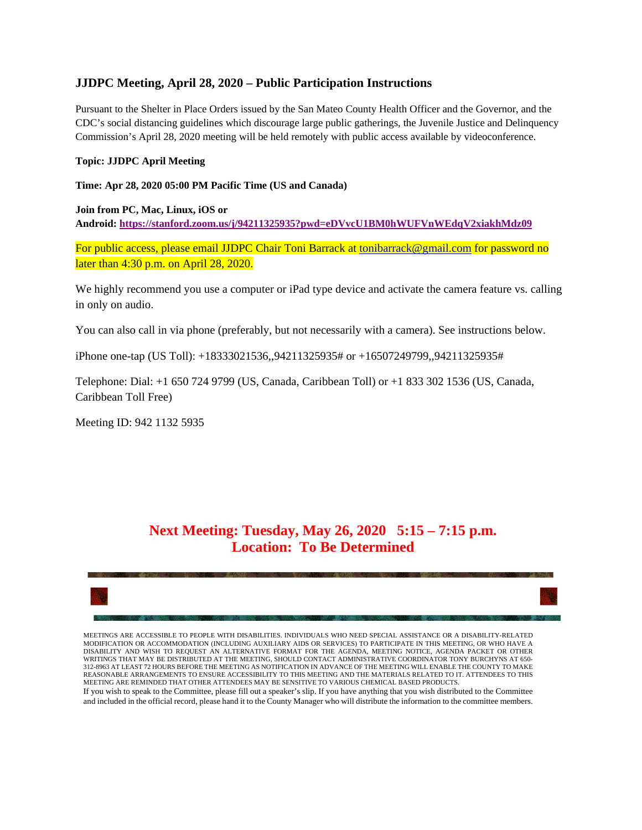#### **JJDPC Meeting, April 28, 2020 – Public Participation Instructions**

Pursuant to the Shelter in Place Orders issued by the San Mateo County Health Officer and the Governor, and the CDC's social distancing guidelines which discourage large public gatherings, the Juvenile Justice and Delinquency Commission's April 28, 2020 meeting will be held remotely with public access available by videoconference.

#### **Topic: JJDPC April Meeting**

**Time: Apr 28, 2020 05:00 PM Pacific Time (US and Canada)**

**Join from PC, Mac, Linux, iOS or Android: [https://stanford.zoom.us/j/94211325935?pwd=eDVvcU1BM0hWUFVnWEdqV2xiakhMdz09](https://protect-us.mimecast.com/s/L7rgCmZ0YRTk2rRYfGYzOV)**

For public access, please email JJDPC Chair Toni Barrack at [tonibarrack@gmail.com](mailto:tonibarrack@gmail.com) for password no later than 4:30 p.m. on April 28, 2020.

We highly recommend you use a computer or iPad type device and activate the camera feature vs. calling in only on audio.

You can also call in via phone (preferably, but not necessarily with a camera). See instructions below.

iPhone one-tap (US Toll): +18333021536,,94211325935# or +16507249799,,94211325935#

Telephone: Dial: +1 650 724 9799 (US, Canada, Caribbean Toll) or +1 833 302 1536 (US, Canada, Caribbean Toll Free)

Meeting ID: 942 1132 5935

## **Next Meeting: Tuesday, May 26, 2020 5:15 – 7:15 p.m. Location: To Be Determined**



MEETINGS ARE ACCESSIBLE TO PEOPLE WITH DISABILITIES. INDIVIDUALS WHO NEED SPECIAL ASSISTANCE OR A DISABILITY-RELATED MODIFICATION OR ACCOMMODATION (INCLUDING AUXILIARY AIDS OR SERVICES) TO PARTICIPATE IN THIS MEETING, OR WHO HAVE A DISABILITY AND WISH TO REQUEST AN ALTERNATIVE FORMAT FOR THE AGENDA, MEETING NOTICE, AGENDA PACKET OR OTHER WRITINGS THAT MAY BE DISTRIBUTED AT THE MEETING, SHOULD CONTACT ADMINISTRATIVE COORDINATOR TONY BURCHYNS AT 650- 312-8963 AT LEAST 72 HOURS BEFORE THE MEETING AS NOTIFICATION IN ADVANCE OF THE MEETING WILL ENABLE THE COUNTY TO MAKE REASONABLE ARRANGEMENTS TO ENSURE ACCESSIBILITY TO THIS MEETING AND THE MATERIALS RELATED TO IT. ATTENDEES TO THIS MEETING ARE REMINDED THAT OTHER ATTENDEES MAY BE SENSITIVE TO VARIOUS CHEMICAL BASED PRODUCTS.

If you wish to speak to the Committee, please fill out a speaker's slip. If you have anything that you wish distributed to the Committee and included in the official record, please hand it to the County Manager who will distribute the information to the committee members.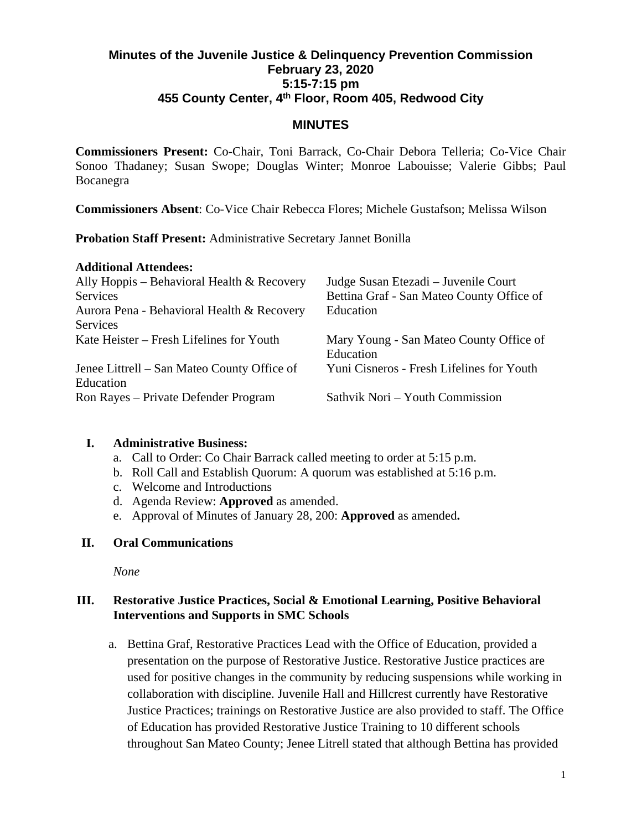## **Minutes of the Juvenile Justice & Delinquency Prevention Commission February 23, 2020 5:15-7:15 pm 455 County Center, 4th Floor, Room 405, Redwood City**

#### **MINUTES**

**Commissioners Present:** Co-Chair, Toni Barrack, Co-Chair Debora Telleria; Co-Vice Chair Sonoo Thadaney; Susan Swope; Douglas Winter; Monroe Labouisse; Valerie Gibbs; Paul Bocanegra

**Commissioners Absent**: Co-Vice Chair Rebecca Flores; Michele Gustafson; Melissa Wilson

**Probation Staff Present:** Administrative Secretary Jannet Bonilla

#### **Additional Attendees:**

| Ally Hoppis – Behavioral Health $&$ Recovery<br><b>Services</b> | Judge Susan Etezadi – Juvenile Court<br>Bettina Graf - San Mateo County Office of |
|-----------------------------------------------------------------|-----------------------------------------------------------------------------------|
| Aurora Pena - Behavioral Health & Recovery                      | Education                                                                         |
| <b>Services</b>                                                 |                                                                                   |
| Kate Heister – Fresh Lifelines for Youth                        | Mary Young - San Mateo County Office of<br>Education                              |
| Jenee Littrell – San Mateo County Office of                     | Yuni Cisneros - Fresh Lifelines for Youth                                         |
| Education                                                       |                                                                                   |
| Ron Rayes – Private Defender Program                            | Sathvik Nori – Youth Commission                                                   |

## **I. Administrative Business:**

- a. Call to Order: Co Chair Barrack called meeting to order at 5:15 p.m.
- b. Roll Call and Establish Quorum: A quorum was established at 5:16 p.m.
- c. Welcome and Introductions
- d. Agenda Review: **Approved** as amended.
- e. Approval of Minutes of January 28, 200: **Approved** as amended**.**

## **II. Oral Communications**

*None*

## **III. Restorative Justice Practices, Social & Emotional Learning, Positive Behavioral Interventions and Supports in SMC Schools**

a. Bettina Graf, Restorative Practices Lead with the Office of Education, provided a presentation on the purpose of Restorative Justice. Restorative Justice practices are used for positive changes in the community by reducing suspensions while working in collaboration with discipline. Juvenile Hall and Hillcrest currently have Restorative Justice Practices; trainings on Restorative Justice are also provided to staff. The Office of Education has provided Restorative Justice Training to 10 different schools throughout San Mateo County; Jenee Litrell stated that although Bettina has provided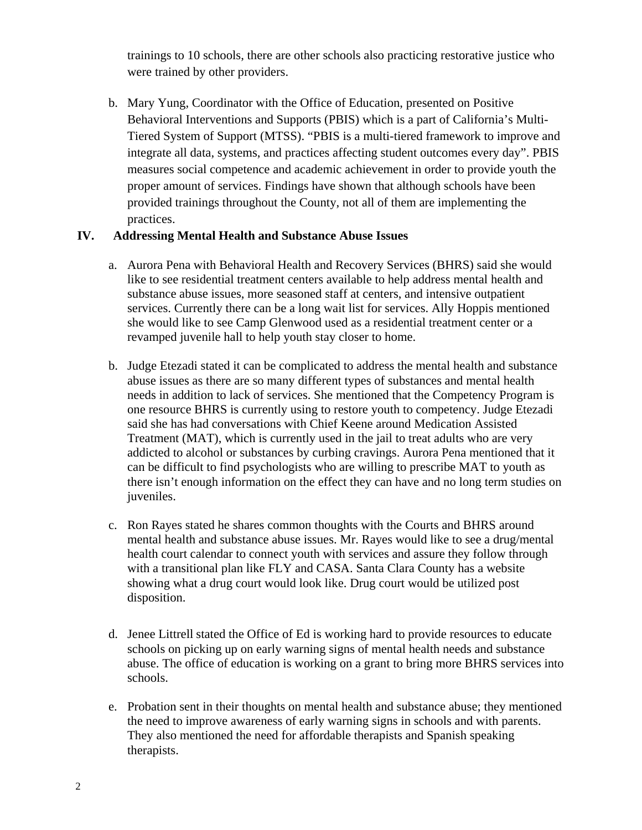trainings to 10 schools, there are other schools also practicing restorative justice who were trained by other providers.

b. Mary Yung, Coordinator with the Office of Education, presented on Positive Behavioral Interventions and Supports (PBIS) which is a part of California's Multi-Tiered System of Support (MTSS). "PBIS is a multi-tiered framework to improve and integrate all data, systems, and practices affecting student outcomes every day". PBIS measures social competence and academic achievement in order to provide youth the proper amount of services. Findings have shown that although schools have been provided trainings throughout the County, not all of them are implementing the practices.

## **IV. Addressing Mental Health and Substance Abuse Issues**

- a. Aurora Pena with Behavioral Health and Recovery Services (BHRS) said she would like to see residential treatment centers available to help address mental health and substance abuse issues, more seasoned staff at centers, and intensive outpatient services. Currently there can be a long wait list for services. Ally Hoppis mentioned she would like to see Camp Glenwood used as a residential treatment center or a revamped juvenile hall to help youth stay closer to home.
- b. Judge Etezadi stated it can be complicated to address the mental health and substance abuse issues as there are so many different types of substances and mental health needs in addition to lack of services. She mentioned that the Competency Program is one resource BHRS is currently using to restore youth to competency. Judge Etezadi said she has had conversations with Chief Keene around Medication Assisted Treatment (MAT), which is currently used in the jail to treat adults who are very addicted to alcohol or substances by curbing cravings. Aurora Pena mentioned that it can be difficult to find psychologists who are willing to prescribe MAT to youth as there isn't enough information on the effect they can have and no long term studies on juveniles.
- c. Ron Rayes stated he shares common thoughts with the Courts and BHRS around mental health and substance abuse issues. Mr. Rayes would like to see a drug/mental health court calendar to connect youth with services and assure they follow through with a transitional plan like FLY and CASA. Santa Clara County has a website showing what a drug court would look like. Drug court would be utilized post disposition.
- d. Jenee Littrell stated the Office of Ed is working hard to provide resources to educate schools on picking up on early warning signs of mental health needs and substance abuse. The office of education is working on a grant to bring more BHRS services into schools.
- e. Probation sent in their thoughts on mental health and substance abuse; they mentioned the need to improve awareness of early warning signs in schools and with parents. They also mentioned the need for affordable therapists and Spanish speaking therapists.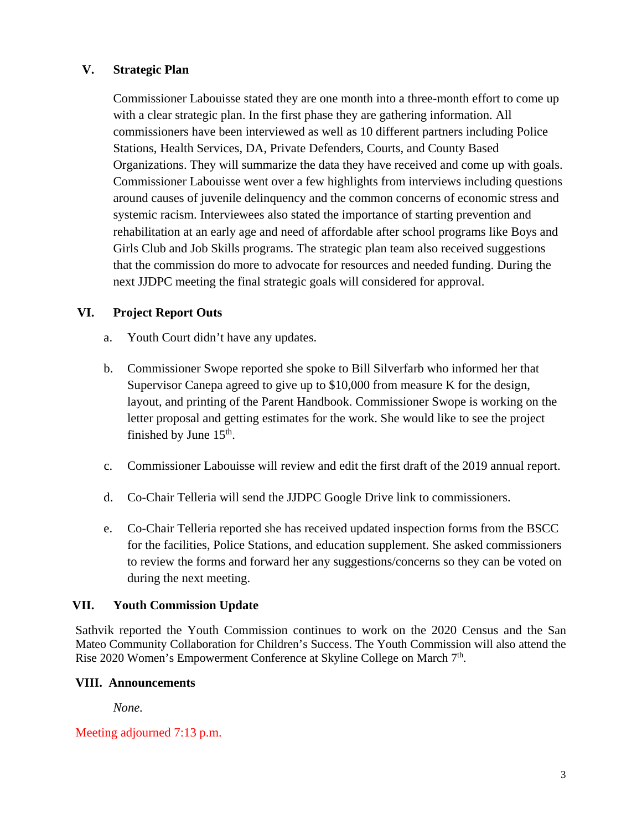## **V. Strategic Plan**

Commissioner Labouisse stated they are one month into a three-month effort to come up with a clear strategic plan. In the first phase they are gathering information. All commissioners have been interviewed as well as 10 different partners including Police Stations, Health Services, DA, Private Defenders, Courts, and County Based Organizations. They will summarize the data they have received and come up with goals. Commissioner Labouisse went over a few highlights from interviews including questions around causes of juvenile delinquency and the common concerns of economic stress and systemic racism. Interviewees also stated the importance of starting prevention and rehabilitation at an early age and need of affordable after school programs like Boys and Girls Club and Job Skills programs. The strategic plan team also received suggestions that the commission do more to advocate for resources and needed funding. During the next JJDPC meeting the final strategic goals will considered for approval.

## **VI. Project Report Outs**

- a. Youth Court didn't have any updates.
- b. Commissioner Swope reported she spoke to Bill Silverfarb who informed her that Supervisor Canepa agreed to give up to \$10,000 from measure K for the design, layout, and printing of the Parent Handbook. Commissioner Swope is working on the letter proposal and getting estimates for the work. She would like to see the project finished by June  $15<sup>th</sup>$ .
- c. Commissioner Labouisse will review and edit the first draft of the 2019 annual report.
- d. Co-Chair Telleria will send the JJDPC Google Drive link to commissioners.
- e. Co-Chair Telleria reported she has received updated inspection forms from the BSCC for the facilities, Police Stations, and education supplement. She asked commissioners to review the forms and forward her any suggestions/concerns so they can be voted on during the next meeting.

#### **VII. Youth Commission Update**

Sathvik reported the Youth Commission continues to work on the 2020 Census and the San Mateo Community Collaboration for Children's Success. The Youth Commission will also attend the Rise 2020 Women's Empowerment Conference at Skyline College on March 7<sup>th</sup>.

#### **VIII. Announcements**

*None.*

#### Meeting adjourned 7:13 p.m.